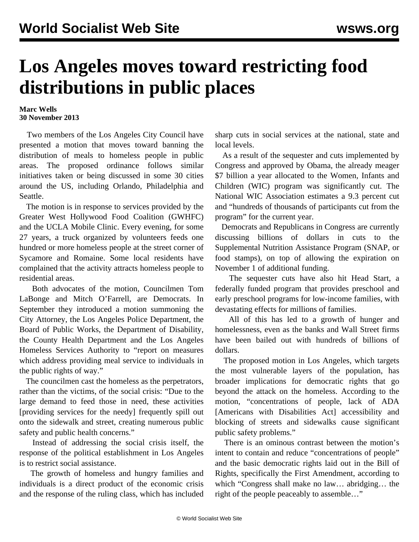## **Los Angeles moves toward restricting food distributions in public places**

## **Marc Wells 30 November 2013**

 Two members of the Los Angeles City Council have presented a [motion](http://clkrep.lacity.org/onlinedocs/2013/13-1238_mot_9-17-13.pdf) that moves toward banning the distribution of meals to homeless people in public areas. The proposed ordinance follows similar initiatives taken or being discussed in some 30 cities around the US, including Orlando, Philadelphia and Seattle.

 The motion is in response to services provided by the Greater West Hollywood Food Coalition (GWHFC) and the UCLA Mobile Clinic. Every evening, for some 27 years, a truck organized by volunteers feeds one hundred or more homeless people at the street corner of Sycamore and Romaine. Some local residents have complained that the activity attracts homeless people to residential areas.

 Both advocates of the motion, Councilmen Tom LaBonge and Mitch O'Farrell, are Democrats. In September they introduced a motion summoning the City Attorney, the Los Angeles Police Department, the Board of Public Works, the Department of Disability, the County Health Department and the Los Angeles Homeless Services Authority to "report on measures which address providing meal service to individuals in the public rights of way."

 The councilmen cast the homeless as the perpetrators, rather than the victims, of the social crisis: "Due to the large demand to feed those in need, these activities [providing services for the needy] frequently spill out onto the sidewalk and street, creating numerous public safety and public health concerns."

 Instead of addressing the social crisis itself, the response of the political establishment in Los Angeles is to restrict social assistance.

 The growth of homeless and hungry families and individuals is a direct product of the economic crisis and the response of the ruling class, which has included sharp cuts in social services at the national, state and local levels.

 As a result of the sequester and cuts implemented by Congress and approved by Obama, the already meager \$7 billion a year allocated to the Women, Infants and Children (WIC) program was significantly cut. The National WIC Association estimates a 9.3 percent cut and "hundreds of thousands of participants cut from the program" for the current year.

 Democrats and Republicans in Congress are currently discussing billions of dollars in cuts to the Supplemental Nutrition Assistance Program (SNAP, or food stamps), on top of allowing the expiration on November 1 of additional funding.

 The sequester cuts have also hit [Head Start](/en/articles/2013/04/16/hsta-a16.html), a federally funded program that provides preschool and early preschool programs for low-income families, with devastating effects for millions of families.

 All of this has led to a growth of hunger and homelessness, even as the banks and Wall Street firms have been bailed out with hundreds of billions of dollars.

 The proposed motion in Los Angeles, which targets the most vulnerable layers of the population, has broader implications for democratic rights that go beyond the attack on the homeless. According to the motion, "concentrations of people, lack of ADA [Americans with Disabilities Act] accessibility and blocking of streets and sidewalks cause significant public safety problems."

 There is an ominous contrast between the motion's intent to contain and reduce "concentrations of people" and the basic democratic rights laid out in the Bill of Rights, specifically the First Amendment, according to which "Congress shall make no law… abridging… the right of the people peaceably to assemble…"